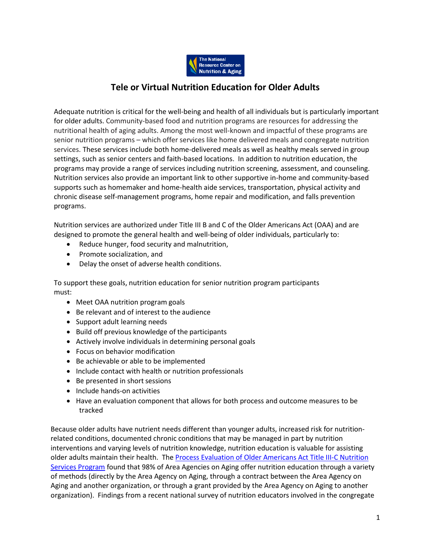

# **Tele or Virtual Nutrition Education for Older Adults**

Adequate nutrition is critical for the well-being and health of all individuals but is particularly important for older adults. Community-based food and nutrition programs are resources for addressing the nutritional health of aging adults. Among the most well-known and impactful of these programs are senior nutrition programs – which offer services like home delivered meals and congregate nutrition services. These services include both home-delivered meals as well as healthy meals served in group settings, such as senior centers and faith-based locations. In addition to nutrition education, the programs may provide a range of services including nutrition screening, assessment, and counseling. Nutrition services also provide an important link to other supportive in-home and community-based supports such as homemaker and home-health aide services, transportation, physical activity and chronic disease self-management programs, home repair and modification, and falls prevention programs.

Nutrition services are authorized under Title III B and C of the Older Americans Act (OAA) and are designed to promote the general health and well-being of older individuals, particularly to:

- Reduce hunger, food security and malnutrition,
- Promote socialization, and
- Delay the onset of adverse health conditions.

To support these goals, nutrition education for senior nutrition program participants must:

- Meet OAA nutrition program goals
- Be relevant and of interest to the audience
- Support adult learning needs
- Build off previous knowledge of the participants
- Actively involve individuals in determining personal goals
- Focus on behavior modification
- Be achievable or able to be implemented
- Include contact with health or nutrition professionals
- Be presented in short sessions
- Include hands-on activities
- Have an evaluation component that allows for both process and outcome measures to be tracked

Because older adults have nutrient needs different than younger adults, increased risk for nutritionrelated conditions, documented chronic conditions that may be managed in part by nutrition interventions and varying levels of nutrition knowledge, nutrition education is valuable for assisting older adults maintain their health. The [Process Evaluation of Older Americans Act Title III-C Nutrition](https://acl.gov/sites/default/files/programs/2017-02/NSP-Process-Evaluation-Report.pdf)  [Services Program](https://acl.gov/sites/default/files/programs/2017-02/NSP-Process-Evaluation-Report.pdf) found that 98% of Area Agencies on Aging offer nutrition education through a variety of methods (directly by the Area Agency on Aging, through a contract between the Area Agency on Aging and another organization, or through a grant provided by the Area Agency on Aging to another organization). Findings from a recent national survey of nutrition educators involved in the congregate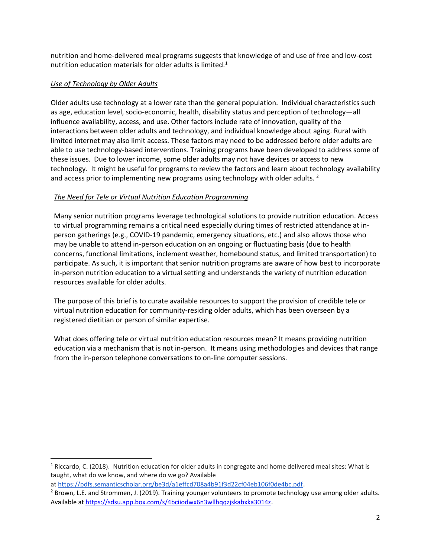nutrition and home-delivered meal programs suggests that knowledge of and use of free and low-cost nutrition education materials for older adults is limited. $1$ 

# *Use of Technology by Older Adults*

Older adults use technology at a lower rate than the general population. Individual characteristics such as age, education level, socio-economic, health, disability status and perception of technology—all influence availability, access, and use. Other factors include rate of innovation, quality of the interactions between older adults and technology, and individual knowledge about aging. Rural with limited internet may also limit access. These factors may need to be addressed before older adults are able to use technology-based interventions. Training programs have been developed to address some of these issues. Due to lower income, some older adults may not have devices or access to new technology. It might be useful for programs to review the factors and learn about technology availability and access prior to implementing new programs using technology with older adults.  $2^2$ 

# *The Need for Tele or Virtual Nutrition Education Programming*

Many senior nutrition programs leverage technological solutions to provide nutrition education. Access to virtual programming remains a critical need especially during times of restricted attendance at inperson gatherings (e.g., COVID-19 pandemic, emergency situations, etc.) and also allows those who may be unable to attend in-person education on an ongoing or fluctuating basis (due to health concerns, functional limitations, inclement weather, homebound status, and limited transportation) to participate. As such, it is important that senior nutrition programs are aware of how best to incorporate in-person nutrition education to a virtual setting and understands the variety of nutrition education resources available for older adults.

The purpose of this brief is to curate available resources to support the provision of credible tele or virtual nutrition education for community-residing older adults, which has been overseen by a registered dietitian or person of similar expertise.

What does offering tele or virtual nutrition education resources mean? It means providing nutrition education via a mechanism that is not in-person. It means using methodologies and devices that range from the in-person telephone conversations to on-line computer sessions.

at <https://pdfs.semanticscholar.org/be3d/a1effcd708a4b91f3d22cf04eb106f0de4bc.pdf>.

<sup>&</sup>lt;sup>1</sup> Riccardo, C. (2018). Nutrition education for older adults in congregate and home delivered meal sites: What is taught, what do we know, and where do we go? Available

<sup>&</sup>lt;sup>2</sup> Brown, L.E. and Strommen, J. (2019). Training younger volunteers to promote technology use among older adults. Available a[t https://sdsu.app.box.com/s/4bciiodwx6n3wllhqqzjskabxka3014z](https://sdsu.app.box.com/s/4bciiodwx6n3wllhqqzjskabxka3014z).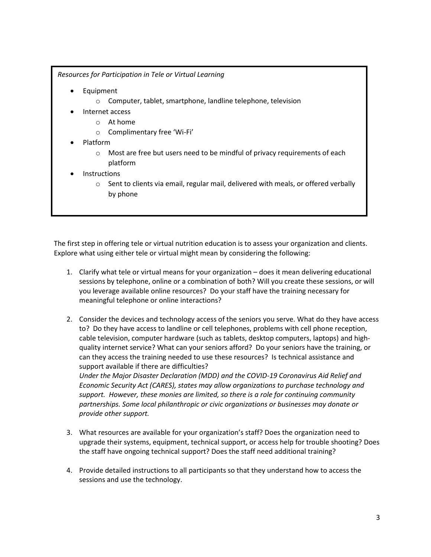*Resources for Participation in Tele or Virtual Learning*

- Equipment
	- o Computer, tablet, smartphone, landline telephone, television
	- Internet access
		- o At home
		- o Complimentary free 'Wi-Fi'
- Platform
	- $\circ$  Most are free but users need to be mindful of privacy requirements of each platform
- **Instructions** 
	- $\circ$  Sent to clients via email, regular mail, delivered with meals, or offered verbally by phone

The first step in offering tele or virtual nutrition education is to assess your organization and clients. Explore what using either tele or virtual might mean by considering the following:

- 1. Clarify what tele or virtual means for your organization does it mean delivering educational sessions by telephone, online or a combination of both? Will you create these sessions, or will you leverage available online resources? Do your staff have the training necessary for meaningful telephone or online interactions?
- 2. Consider the devices and technology access of the seniors you serve. What do they have access to? Do they have access to landline or cell telephones, problems with cell phone reception, cable television, computer hardware (such as tablets, desktop computers, laptops) and highquality internet service? What can your seniors afford? Do your seniors have the training, or can they access the training needed to use these resources? Is technical assistance and support available if there are difficulties? *Under the Major Disaster Declaration (MDD) and the COVID-19 Coronavirus Aid Relief and Economic Security Act (CARES), states may allow organizations to purchase technology and support. However, these monies are limited, so there is a role for continuing community partnerships. Some local philanthropic or civic organizations or businesses may donate or provide other support.*
- 3. What resources are available for your organization's staff? Does the organization need to upgrade their systems, equipment, technical support, or access help for trouble shooting? Does the staff have ongoing technical support? Does the staff need additional training?
- 4. Provide detailed instructions to all participants so that they understand how to access the sessions and use the technology.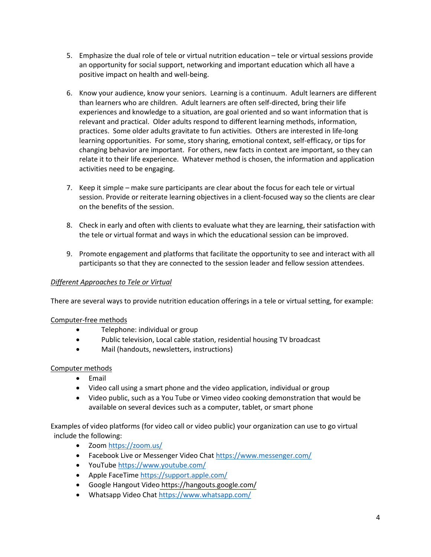- 5. Emphasize the dual role of tele or virtual nutrition education tele or virtual sessions provide an opportunity for social support, networking and important education which all have a positive impact on health and well-being.
- 6. Know your audience, know your seniors. Learning is a continuum. Adult learners are different than learners who are children. Adult learners are often self-directed, bring their life experiences and knowledge to a situation, are goal oriented and so want information that is relevant and practical. Older adults respond to different learning methods, information, practices. Some older adults gravitate to fun activities. Others are interested in life-long learning opportunities. For some, story sharing, emotional context, self-efficacy, or tips for changing behavior are important. For others, new facts in context are important, so they can relate it to their life experience. Whatever method is chosen, the information and application activities need to be engaging.
- 7. Keep it simple make sure participants are clear about the focus for each tele or virtual session. Provide or reiterate learning objectives in a client-focused way so the clients are clear on the benefits of the session.
- 8. Check in early and often with clients to evaluate what they are learning, their satisfaction with the tele or virtual format and ways in which the educational session can be improved.
- 9. Promote engagement and platforms that facilitate the opportunity to see and interact with all participants so that they are connected to the session leader and fellow session attendees.

# *Different Approaches to Tele or Virtual*

There are several ways to provide nutrition education offerings in a tele or virtual setting, for example:

#### Computer-free methods

- Telephone: individual or group
- Public television, Local cable station, residential housing TV broadcast
- Mail (handouts, newsletters, instructions)

#### Computer methods

- Email
- Video call using a smart phone and the video application, individual or group
- Video public, such as a You Tube or Vimeo video cooking demonstration that would be available on several devices such as a computer, tablet, or smart phone

Examples of video platforms (for video call or video public) your organization can use to go virtual include the following:

- Zoom<https://zoom.us/>
- Facebook Live or Messenger Video Cha[t https://www.messenger.com/](https://www.messenger.com/)
- YouTube<https://www.youtube.com/>
- Apple FaceTim[e https://support.apple.com/](https://support.apple.com/guide/iphone/make-and-receive-calls-iph7801d5771/ios)
- Google Hangout Video<https://hangouts.google.com/>
- Whatsapp Video Cha[t https://www.whatsapp.com/](https://www.whatsapp.com/)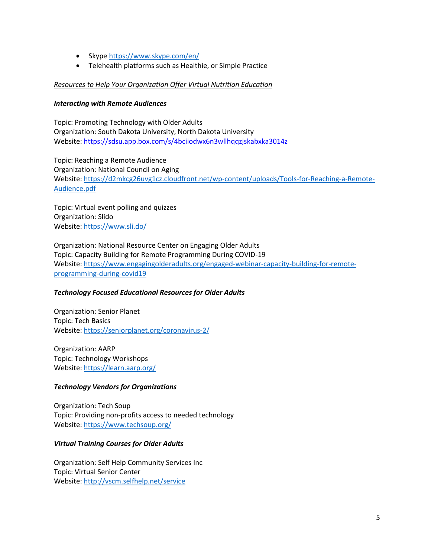- Skype<https://www.skype.com/en/>
- Telehealth platforms such as Healthie, or Simple Practice

#### *Resources to Help Your Organization Offer Virtual Nutrition Education*

#### *Interacting with Remote Audiences*

Topic: Promoting Technology with Older Adults Organization: South Dakota University, North Dakota University Website:<https://sdsu.app.box.com/s/4bciiodwx6n3wllhqqzjskabxka3014z>

Topic: Reaching a Remote Audience Organization: National Council on Aging Website: [https://d2mkcg26uvg1cz.cloudfront.net/wp-content/uploads/Tools-for-Reaching-a-Remote-](https://d2mkcg26uvg1cz.cloudfront.net/wp-content/uploads/Tools-for-Reaching-a-Remote-Audience.pdf)[Audience.pdf](https://d2mkcg26uvg1cz.cloudfront.net/wp-content/uploads/Tools-for-Reaching-a-Remote-Audience.pdf)

Topic: Virtual event polling and quizzes Organization: Slido Website:<https://www.sli.do/>

Organization: National Resource Center on Engaging Older Adults Topic: Capacity Building for Remote Programming During COVID-19 Website: [https://www.engagingolderadults.org/engaged-webinar-capacity-building-for-remote](https://www.engagingolderadults.org/engaged-webinar-capacity-building-for-remote-programming-during-covid19)[programming-during-covid19](https://www.engagingolderadults.org/engaged-webinar-capacity-building-for-remote-programming-during-covid19)

#### *Technology Focused Educational Resources for Older Adults*

Organization: Senior Planet Topic: Tech Basics Website:<https://seniorplanet.org/coronavirus-2/>

Organization: AARP Topic: Technology Workshops Website:<https://learn.aarp.org/>

#### *Technology Vendors for Organizations*

Organization: Tech Soup Topic: Providing non-profits access to needed technology Website:<https://www.techsoup.org/>

#### *Virtual Training Courses for Older Adults*

Organization: Self Help Community Services Inc Topic: Virtual Senior Center Website:<http://vscm.selfhelp.net/service>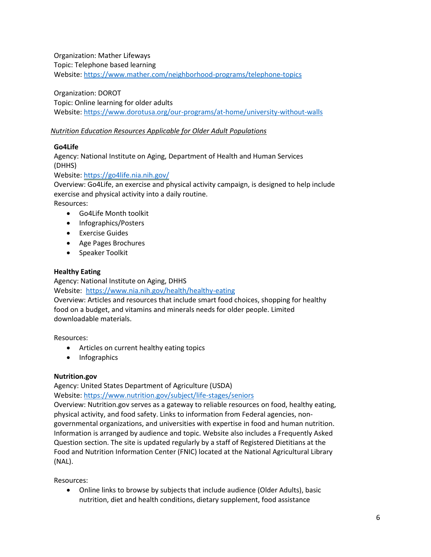Organization: Mather Lifeways Topic: Telephone based learning Website:<https://www.mather.com/neighborhood-programs/telephone-topics>

Organization: DOROT Topic: Online learning for older adults Website:<https://www.dorotusa.org/our-programs/at-home/university-without-walls>

# *Nutrition Education Resources Applicable for Older Adult Populations*

# **Go4Life**

Agency: National Institute on Aging, Department of Health and Human Services (DHHS)

Website:<https://go4life.nia.nih.gov/>

Overview: Go4Life, an exercise and physical activity campaign, is designed to help include exercise and physical activity into a daily routine.

Resources:

- Go4Life Month toolkit
- Infographics/Posters
- Exercise Guides
- Age Pages Brochures
- Speaker Toolkit

# **Healthy Eating**

Agency: National Institute on Aging, DHHS Website: https:/[/www.nia.nih.gov/health/healthy-eating](http://www.nia.nih.gov/health/healthy-eating) Overview: Articles and resources that include smart food choices, shopping for healthy food on a budget, and vitamins and minerals needs for older people. Limited downloadable materials.

Resources:

- Articles on current healthy eating topics
- Infographics

#### **Nutrition.gov**

Agency: United States Department of Agriculture (USDA)

Website: https:/[/www.nutrition.gov/subject/life-stages/seniors](http://www.nutrition.gov/subject/life-stages/seniors)

Overview: Nutrition.gov serves as a gateway to reliable resources on food, healthy eating, physical activity, and food safety. Links to information from Federal agencies, nongovernmental organizations, and universities with expertise in food and human nutrition. Information is arranged by audience and topic. Website also includes a Frequently Asked Question section. The site is updated regularly by a staff of Registered Dietitians at the Food and Nutrition Information Center (FNIC) located at the National Agricultural Library (NAL).

Resources:

• Online links to browse by subjects that include audience (Older Adults), basic nutrition, diet and health conditions, dietary supplement, food assistance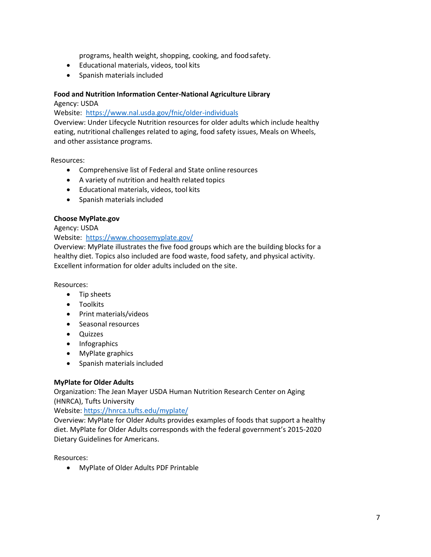programs, health weight, shopping, cooking, and foodsafety.

- Educational materials, videos, tool kits
- Spanish materials included

#### **Food and Nutrition Information Center-National Agriculture Library**

Agency: USDA

Website: https:/[/www.nal.usda.gov/fnic/older-individuals](http://www.nal.usda.gov/fnic/older-individuals)

Overview: Under Lifecycle Nutrition resources for older adults which include healthy eating, nutritional challenges related to aging, food safety issues, Meals on Wheels, and other assistance programs.

Resources:

- Comprehensive list of Federal and State online resources
- A variety of nutrition and health related topics
- Educational materials, videos, tool kits
- Spanish materials included

# **Choose MyPlate.gov**

Agency: USDA

Website: https:/[/www.choosemyplate.gov/](http://www.choosemyplate.gov/)

Overview: MyPlate illustrates the five food groups which are the building blocks for a healthy diet. Topics also included are food waste, food safety, and physical activity. Excellent information for older adults included on the site.

Resources:

- Tip sheets
- Toolkits
- Print materials/videos
- Seasonal resources
- Quizzes
- Infographics
- MyPlate graphics
- Spanish materials included

#### **MyPlate for Older Adults**

Organization: The Jean Mayer USDA Human Nutrition Research Center on Aging (HNRCA), Tufts University

Website:<https://hnrca.tufts.edu/myplate/>

Overview: MyPlate for Older Adults provides examples of foods that support a healthy diet. MyPlate for Older Adults corresponds with the federal government's 2015-2020 Dietary Guidelines for Americans.

Resources:

• MyPlate of Older Adults PDF Printable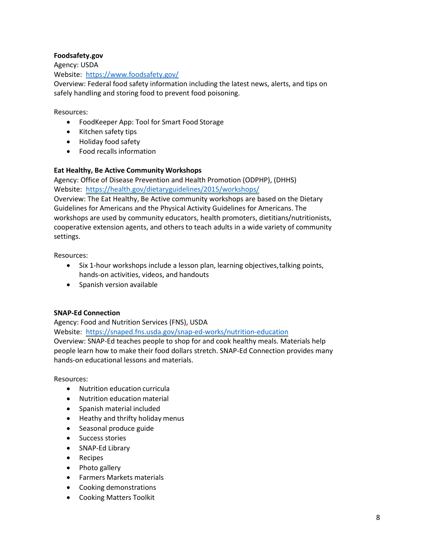# **Foodsafety.gov**

Agency: USDA Website: https:/[/www.foodsafety.gov/](http://www.foodsafety.gov/)

Overview: Federal food safety information including the latest news, alerts, and tips on safely handling and storing food to prevent food poisoning.

#### Resources:

- FoodKeeper App: Tool for Smart Food Storage
- Kitchen safety tips
- Holiday food safety
- Food recalls information

#### **Eat Healthy, Be Active Community Workshops**

Agency: Office of Disease Prevention and Health Promotion (ODPHP), (DHHS) Website: <https://health.gov/dietaryguidelines/2015/workshops/>

Overview: The Eat Healthy, Be Active community workshops are based on the Dietary Guidelines for Americans and the Physical Activity Guidelines for Americans. The workshops are used by community educators, health promoters, dietitians/nutritionists, cooperative extension agents, and others to teach adults in a wide variety of community settings.

Resources:

- Six 1-hour workshops include a lesson plan, learning objectives,talking points, hands-on activities, videos, and handouts
- Spanish version available

#### **SNAP-Ed Connection**

Agency: Food and Nutrition Services (FNS), USDA Website: <https://snaped.fns.usda.gov/snap-ed-works/nutrition-education> Overview: SNAP-Ed teaches people to shop for and cook healthy meals. Materials help people learn how to make their food dollars stretch. SNAP-Ed Connection provides many hands-on educational lessons and materials.

- Nutrition education curricula
- Nutrition education material
- Spanish material included
- Heathy and thrifty holiday menus
- Seasonal produce guide
- Success stories
- SNAP-Ed Library
- Recipes
- Photo gallery
- Farmers Markets materials
- Cooking demonstrations
- Cooking Matters Toolkit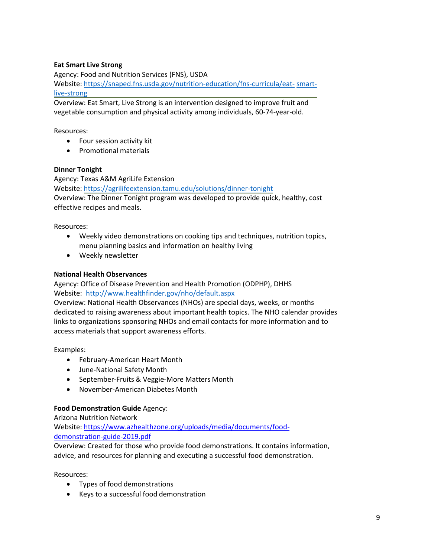# **Eat Smart Live Strong**

Agency: Food and Nutrition Services (FNS), USDA

[Website: https://snaped.fns.usda.gov/nutrition-education/fns-curricula/eat-](https://snaped.fns.usda.gov/nutrition-education/fns-curricula/eat- smartlive-) smartlive-strong

Overview: Eat Smart, Live Strong is an intervention designed to improve fruit and vegetable consumption and physical activity among individuals, 60-74-year-old.

Resources:

- Four session activity kit
- Promotional materials

#### **Dinner Tonight**

Agency: Texas A&M AgriLife Extension

Website:<https://agrilifeextension.tamu.edu/solutions/dinner-tonight> Overview: The Dinner Tonight program was developed to provide quick, healthy, cost effective recipes and meals.

Resources:

- Weekly video demonstrations on cooking tips and techniques, nutrition topics, menu planning basics and information on healthy living
- Weekly newsletter

# **National Health Observances**

Agency: Office of Disease Prevention and Health Promotion (ODPHP), DHHS Website: <http://www.healthfinder.gov/nho/default.aspx>

Overview: National Health Observances (NHOs) are special days, weeks, or months dedicated to raising awareness about important health topics. The NHO calendar provides links to organizations sponsoring NHOs and email contacts for more information and to access materials that support awareness efforts.

Examples:

- February-American Heart Month
- June-National Safety Month
- September-Fruits & Veggie-More Matters Month
- November-American Diabetes Month

#### **Food Demonstration Guide** Agency:

Arizona Nutrition Network Website: [https://www.azhealthzone.org/uploads/media/documents/food](https://www.azhealthzone.org/uploads/media/documents/food-demonstration-guide-2019.pdf)[demonstration-guide-2019.pdf](https://www.azhealthzone.org/uploads/media/documents/food-demonstration-guide-2019.pdf)

Overview: Created for those who provide food demonstrations. It contains information, advice, and resources for planning and executing a successful food demonstration.

- Types of food demonstrations
- Keys to a successful food demonstration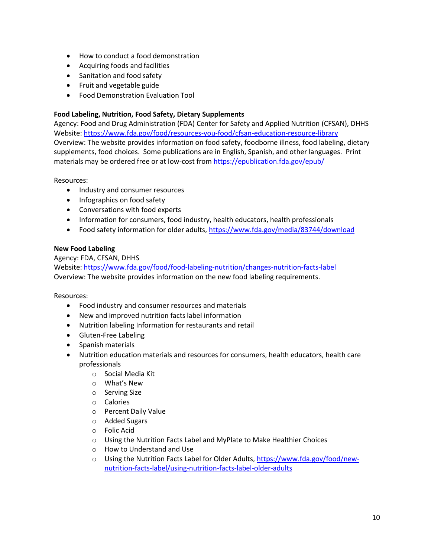- How to conduct a food demonstration
- Acquiring foods and facilities
- Sanitation and food safety
- Fruit and vegetable guide
- Food Demonstration Evaluation Tool

# **Food Labeling, Nutrition, Food Safety, Dietary Supplements**

Agency: Food and Drug Administration (FDA) Center for Safety and Applied Nutrition (CFSAN), DHHS Website:<https://www.fda.gov/food/resources-you-food/cfsan-education-resource-library> Overview: The website provides information on food safety, foodborne illness, food labeling, dietary supplements, food choices. Some publications are in English, Spanish, and other languages. Print materials may be ordered free or at low-cost from<https://epublication.fda.gov/epub/>

Resources:

- Industry and consumer resources
- Infographics on food safety
- Conversations with food experts
- Information for consumers, food industry, health educators, health professionals
- Food safety information for older adults[, https://www.fda.gov/media/83744/download](https://www.fda.gov/media/83744/download)

# **New Food Labeling**

Agency: FDA, CFSAN, DHHS Website:<https://www.fda.gov/food/food-labeling-nutrition/changes-nutrition-facts-label> Overview: The website provides information on the new food labeling requirements.

- Food industry and consumer resources and materials
- New and improved nutrition facts label information
- Nutrition labeling Information for restaurants and retail
- Gluten-Free Labeling
- Spanish materials
- Nutrition education materials and resources for consumers, health educators, health care professionals
	- o Social Media Kit
	- o What's New
	- o Serving Size
	- o Calories
	- o Percent Daily Value
	- o Added Sugars
	- o Folic Acid
	- o Using the Nutrition Facts Label and MyPlate to Make Healthier Choices
	- o How to Understand and Use
	- o Using the Nutrition Facts Label for Older Adults[, https://www.fda.gov/food/new](https://www.fda.gov/food/new-nutrition-facts-label/using-nutrition-facts-label-older-adults)[nutrition-facts-label/using-nutrition-facts-label-older-adults](https://www.fda.gov/food/new-nutrition-facts-label/using-nutrition-facts-label-older-adults)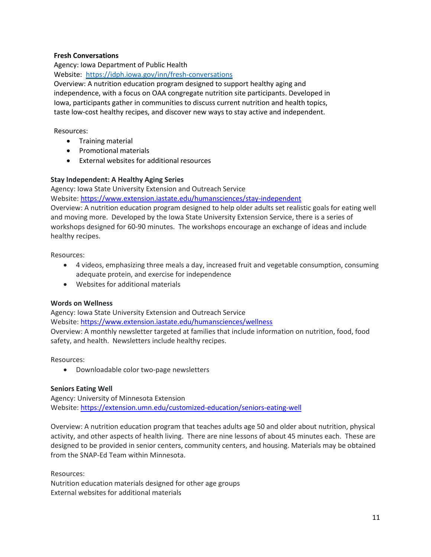# **Fresh Conversations**

Agency: Iowa Department of Public Health

Website: <https://idph.iowa.gov/inn/fresh-conversations>

Overview: A nutrition education program designed to support healthy aging and independence, with a focus on OAA congregate nutrition site participants. Developed in Iowa, participants gather in communities to discuss current nutrition and health topics, taste low-cost healthy recipes, and discover new ways to stay active and independent.

Resources:

- Training material
- Promotional materials
- External websites for additional resources

# **Stay Independent: A Healthy Aging Series**

Agency: Iowa State University Extension and Outreach Service

Website[: https://www.extension.iastate.edu/humansciences/stay-independent](https://www.extension.iastate.edu/humansciences/stay-independent)

Overview: A nutrition education program designed to help older adults set realistic goals for eating well and moving more. Developed by the Iowa State University Extension Service, there is a series of workshops designed for 60-90 minutes. The workshops encourage an exchange of ideas and include healthy recipes.

Resources:

- 4 videos, emphasizing three meals a day, increased fruit and vegetable consumption, consuming adequate protein, and exercise for independence
- Websites for additional materials

#### **Words on Wellness**

Agency: Iowa State University Extension and Outreach Service Website[: https://www.extension.iastate.edu/humansciences/wellness](https://www.extension.iastate.edu/humansciences/wellness) Overview: A monthly newsletter targeted at families that include information on nutrition, food, food safety, and health. Newsletters include healthy recipes.

Resources:

• Downloadable color two-page newsletters

#### **Seniors Eating Well**

Agency: University of Minnesota Extension Website[: https://extension.umn.edu/customized-education/seniors-eating-well](https://extension.umn.edu/customized-education/seniors-eating-well)

Overview: A nutrition education program that teaches adults age 50 and older about nutrition, physical activity, and other aspects of health living. There are nine lessons of about 45 minutes each. These are designed to be provided in senior centers, community centers, and housing. Materials may be obtained from the SNAP-Ed Team within Minnesota.

Resources:

Nutrition education materials designed for other age groups External websites for additional materials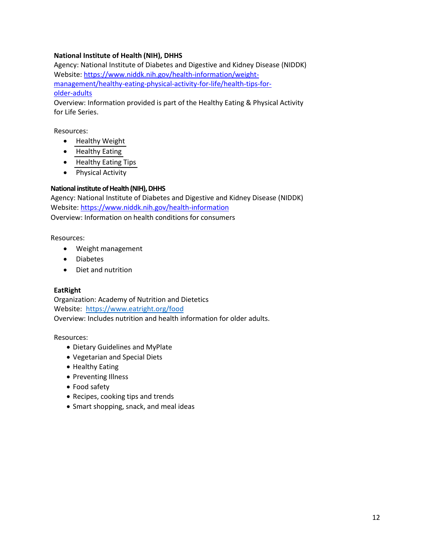# **National Institute of Health (NIH), DHHS**

Agency: National Institute of Diabetes and Digestive and Kidney Disease (NIDDK) Website: [https://www.niddk.nih.gov/health-information/weight](https://www.niddk.nih.gov/health-information/weight-management/healthy-eating-physical-activity-for-life/health-tips-for-older-adults)[management/healthy-eating-physical-activity-for-life/health-tips-for](https://www.niddk.nih.gov/health-information/weight-management/healthy-eating-physical-activity-for-life/health-tips-for-older-adults)[older-adults](https://www.niddk.nih.gov/health-information/weight-management/healthy-eating-physical-activity-for-life/health-tips-for-older-adults)

Overview: Information provided is part of the Healthy Eating & Physical Activity for Life Series.

Resources:

- [Healthy Weight](https://www.niddk.nih.gov/health-information/weight-management/healthy-eating-physical-activity-for-life/health-tips-for-older-adults#weightOlder)
- [Healthy Eating](https://www.niddk.nih.gov/health-information/weight-management/healthy-eating-physical-activity-for-life/health-tips-for-older-adults#eatingOlder)
- [Healthy Eating Tips](https://www.niddk.nih.gov/health-information/weight-management/healthy-eating-physical-activity-for-life/health-tips-for-older-adults#eatingTips)
- Physical Activity

#### **National institute of Health (NIH), DHHS**

Agency: National Institute of Diabetes and Digestive and Kidney Disease (NIDDK) Website[: https://www.niddk.nih.gov/health-information](https://www.niddk.nih.gov/health-information) Overview: Information on health conditions for consumers

Resources:

- Weight management
- Diabetes
- Diet and nutrition

#### **EatRight**

Organization: Academy of Nutrition and Dietetics Website: https:/[/www.eatright.org/food](http://www.eatright.org/food) Overview: Includes nutrition and health information for older adults.

- Dietary Guidelines and MyPlate
- Vegetarian and Special Diets
- Healthy Eating
- Preventing Illness
- Food safety
- Recipes, cooking tips and trends
- Smart shopping, snack, and meal ideas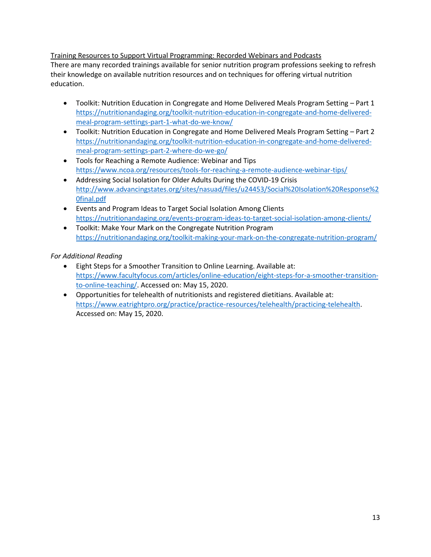Training Resources to Support Virtual Programming: Recorded Webinars and Podcasts There are many recorded trainings available for senior nutrition program professions seeking to refresh their knowledge on available nutrition resources and on techniques for offering virtual nutrition education.

- Toolkit: Nutrition Education in Congregate and Home Delivered Meals Program Setting Part 1 [https://nutritionandaging.org/toolkit-nutrition-education-in-congregate-and-home-delivered](https://nutritionandaging.org/toolkit-nutrition-education-in-congregate-and-home-delivered-meal-program-settings-part-1-what-do-we-know/)[meal-program-settings-part-1-what-do-we-know/](https://nutritionandaging.org/toolkit-nutrition-education-in-congregate-and-home-delivered-meal-program-settings-part-1-what-do-we-know/)
- Toolkit: Nutrition Education in Congregate and Home Delivered Meals Program Setting Part 2 [https://nutritionandaging.org/toolkit-nutrition-education-in-congregate-and-home-delivered](https://nutritionandaging.org/toolkit-nutrition-education-in-congregate-and-home-delivered-meal-program-settings-part-2-where-do-we-go/)[meal-program-settings-part-2-where-do-we-go/](https://nutritionandaging.org/toolkit-nutrition-education-in-congregate-and-home-delivered-meal-program-settings-part-2-where-do-we-go/)
- Tools for Reaching a Remote Audience: Webinar and Tips <https://www.ncoa.org/resources/tools-for-reaching-a-remote-audience-webinar-tips/>
- Addressing Social Isolation for Older Adults During the COVID-19 Crisis [http://www.advancingstates.org/sites/nasuad/files/u24453/Social%20Isolation%20Response%2](http://www.advancingstates.org/sites/nasuad/files/u24453/Social%20Isolation%20Response%20final.pdf) [0final.pdf](http://www.advancingstates.org/sites/nasuad/files/u24453/Social%20Isolation%20Response%20final.pdf)
- Events and Program Ideas to Target Social Isolation Among Clients <https://nutritionandaging.org/events-program-ideas-to-target-social-isolation-among-clients/>
- Toolkit: Make Your Mark on the Congregate Nutrition Program <https://nutritionandaging.org/toolkit-making-your-mark-on-the-congregate-nutrition-program/>

*For Additional Reading* 

- Eight Steps for a Smoother Transition to Online Learning. Available at: [https://www.facultyfocus.com/articles/online-education/eight-steps-for-a-smoother-transition](https://www.facultyfocus.com/articles/online-education/eight-steps-for-a-smoother-transition-to-online-teaching/)[to-online-teaching/.](https://www.facultyfocus.com/articles/online-education/eight-steps-for-a-smoother-transition-to-online-teaching/) Accessed on: May 15, 2020.
- Opportunities for telehealth of nutritionists and registered dietitians. Available at: [https://www.eatrightpro.org/practice/practice-resources/telehealth/practicing-telehealth.](https://www.eatrightpro.org/practice/practice-resources/telehealth/practicing-telehealth) Accessed on: May 15, 2020.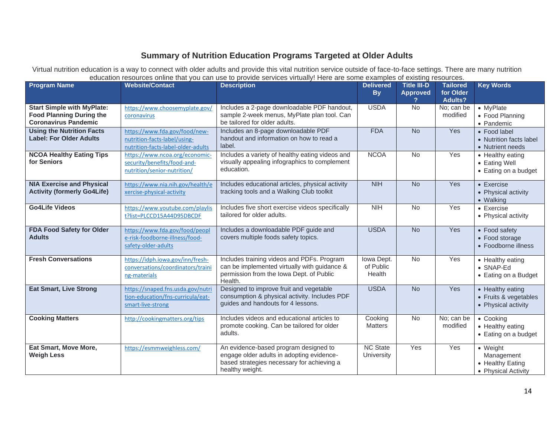# **Summary of Nutrition Education Programs Targeted at Older Adults**

Virtual nutrition education is a way to connect with older adults and provide this vital nutrition service outside of face-to-face settings. There are many nutrition education resources online that you can use to provide services virtually! Here are some examples of existing resources.

| <b>Program Name</b>                                                                                 | <b>Website/Contact</b>                                                                              | <b>Description</b>                                                                                                                                  | <b>Delivered</b><br><b>By</b>     | <b>Title III-D</b><br><b>Approved</b> | <b>Tailored</b><br>for Older<br><b>Adults?</b> | <b>Key Words</b>                                                          |
|-----------------------------------------------------------------------------------------------------|-----------------------------------------------------------------------------------------------------|-----------------------------------------------------------------------------------------------------------------------------------------------------|-----------------------------------|---------------------------------------|------------------------------------------------|---------------------------------------------------------------------------|
| <b>Start Simple with MyPlate:</b><br><b>Food Planning During the</b><br><b>Coronavirus Pandemic</b> | https://www.choosemyplate.gov/<br>coronavirus                                                       | Includes a 2-page downloadable PDF handout,<br>sample 2-week menus, MyPlate plan tool. Can<br>be tailored for older adults.                         | <b>USDA</b>                       | No                                    | No; can be<br>modified                         | • MyPlate<br>• Food Planning<br>• Pandemic                                |
| <b>Using the Nutrition Facts</b><br><b>Label: For Older Adults</b>                                  | https://www.fda.gov/food/new-<br>nutrition-facts-label/using-<br>nutrition-facts-label-older-adults | Includes an 8-page downloadable PDF<br>handout and information on how to read a<br>label.                                                           | <b>FDA</b>                        | <b>No</b>                             | Yes                                            | • Food label<br>• Nutrition facts label<br>• Nutrient needs               |
| <b>NCOA Healthy Eating Tips</b><br>for Seniors                                                      | https://www.ncoa.org/economic-<br>security/benefits/food-and-<br>nutrition/senior-nutrition/        | Includes a variety of healthy eating videos and<br>visually appealing infographics to complement<br>education.                                      | <b>NCOA</b>                       | <b>No</b>                             | Yes                                            | • Healthy eating<br>• Eating Well<br>• Eating on a budget                 |
| <b>NIA Exercise and Physical</b><br><b>Activity (formerly Go4Life)</b>                              | https://www.nia.nih.gov/health/e<br>xercise-physical-activity                                       | Includes educational articles, physical activity<br>tracking tools and a Walking Club toolkit                                                       | <b>NIH</b>                        | <b>No</b>                             | Yes                                            | $\bullet$ Exercise<br>• Physical activity<br>• Walking                    |
| <b>Go4Life Videos</b>                                                                               | https://www.youtube.com/playlis<br>t?list=PLCCD15A44D95DBCDF                                        | Includes five short exercise videos specifically<br>tailored for older adults.                                                                      | <b>NIH</b>                        | No                                    | Yes                                            | $\bullet$ Exercise<br>• Physical activity                                 |
| FDA Food Safety for Older<br><b>Adults</b>                                                          | https://www.fda.gov/food/peopl<br>e-risk-foodborne-illness/food-<br>safety-older-adults             | Includes a downloadable PDF guide and<br>covers multiple foods safety topics.                                                                       | <b>USDA</b>                       | <b>No</b>                             | Yes                                            | • Food safety<br>• Food storage<br>• Foodborne illness                    |
| <b>Fresh Conversations</b>                                                                          | https://idph.iowa.gov/inn/fresh-<br>conversations/coordinators/traini<br>ng-materials               | Includes training videos and PDFs. Program<br>can be implemented virtually with guidance &<br>permission from the Iowa Dept. of Public<br>Health.   | Iowa Dept.<br>of Public<br>Health | No                                    | Yes                                            | • Healthy eating<br>$\bullet$ SNAP-Ed<br>• Eating on a Budget             |
| <b>Eat Smart, Live Strong</b>                                                                       | https://snaped.fns.usda.gov/nutri<br>tion-education/fns-curricula/eat-<br>smart-live-strong         | Designed to improve fruit and vegetable<br>consumption & physical activity. Includes PDF<br>guides and handouts for 4 lessons.                      | <b>USDA</b>                       | $\overline{N}$                        | Yes                                            | • Healthy eating<br>• Fruits & vegetables<br>• Physical activity          |
| <b>Cooking Matters</b>                                                                              | http://cookingmatters.org/tips                                                                      | Includes videos and educational articles to<br>promote cooking. Can be tailored for older<br>adults.                                                | Cooking<br><b>Matters</b>         | <b>No</b>                             | No; can be<br>modified                         | • Cooking<br>• Healthy eating<br>• Eating on a budget                     |
| Eat Smart, Move More,<br><b>Weigh Less</b>                                                          | https://esmmweighless.com/                                                                          | An evidence-based program designed to<br>engage older adults in adopting evidence-<br>based strategies necessary for achieving a<br>healthy weight. | <b>NC State</b><br>University     | Yes                                   | Yes                                            | $\bullet$ Weight<br>Management<br>• Healthy Eating<br>• Physical Activity |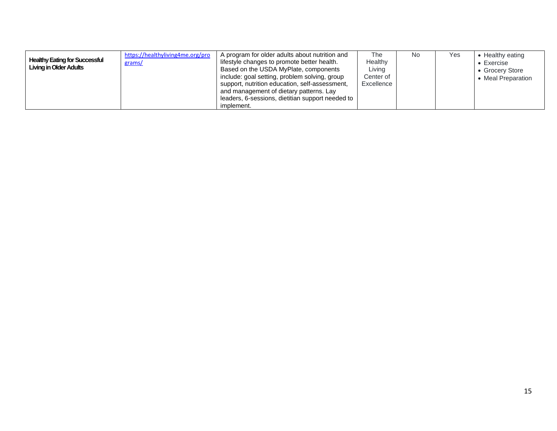| <b>Healthy Eating for Successful</b><br><b>Living in Older Adults</b> | https://healthyliving4me.org/pro<br>grams/ | A program for older adults about nutrition and<br>lifestyle changes to promote better health.<br>Based on the USDA MyPlate, components<br>include: goal setting, problem solving, group | The<br>Healthy<br>Living<br>Center of | No. | Yes | • Healthy eating<br>$\bullet$ Exercise<br>• Grocery Store<br>• Meal Preparation |
|-----------------------------------------------------------------------|--------------------------------------------|-----------------------------------------------------------------------------------------------------------------------------------------------------------------------------------------|---------------------------------------|-----|-----|---------------------------------------------------------------------------------|
|                                                                       |                                            | support, nutrition education, self-assessment,<br>and management of dietary patterns. Lay                                                                                               | Excellence                            |     |     |                                                                                 |
|                                                                       |                                            | leaders, 6-sessions, dietitian support needed to<br>implement.                                                                                                                          |                                       |     |     |                                                                                 |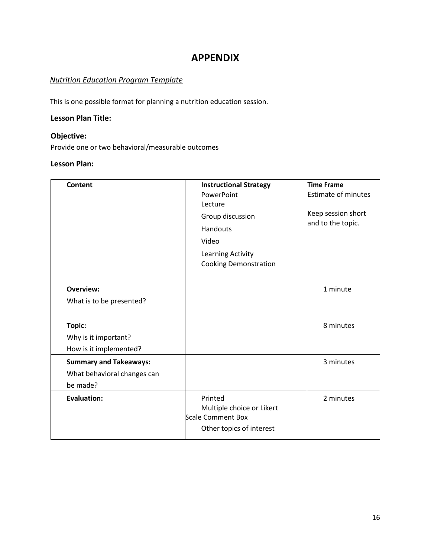# **APPENDIX**

# *Nutrition Education Program Template*

This is one possible format for planning a nutrition education session.

# **Lesson Plan Title:**

# **Objective:**

Provide one or two behavioral/measurable outcomes

# **Lesson Plan:**

| <b>Content</b>                                                           | <b>Instructional Strategy</b><br>PowerPoint<br>Lecture<br>Group discussion<br><b>Handouts</b><br>Video<br>Learning Activity<br><b>Cooking Demonstration</b> | Time Frame<br>Estimate of minutes<br>Keep session short<br>and to the topic. |
|--------------------------------------------------------------------------|-------------------------------------------------------------------------------------------------------------------------------------------------------------|------------------------------------------------------------------------------|
| <b>Overview:</b><br>What is to be presented?                             |                                                                                                                                                             | 1 minute                                                                     |
| Topic:<br>Why is it important?<br>How is it implemented?                 |                                                                                                                                                             | 8 minutes                                                                    |
| <b>Summary and Takeaways:</b><br>What behavioral changes can<br>be made? |                                                                                                                                                             | 3 minutes                                                                    |
| <b>Evaluation:</b>                                                       | Printed<br>Multiple choice or Likert<br>Scale Comment Box<br>Other topics of interest                                                                       | 2 minutes                                                                    |